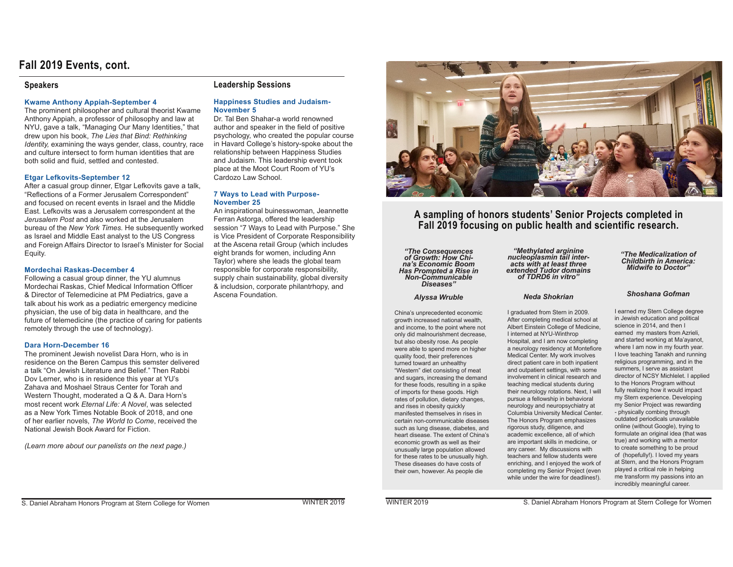# **Fall 2019 Events, cont.**

### **Speakers**

#### **Kwame Anthony Appiah-September 4**

The prominent philosopher and cultural theorist Kwame Anthony Appiah, a professor of philosophy and law at NYU, gave a talk, "Managing Our Many Identities," that drew upon his book, *The Lies that Bind: Rethinking Identity*, examining the ways gender, class, country, race and culture intersect to form human identities that are both solid and fluid, settled and contested.

#### **Etgar Lefkovits-September 12**

After a casual group dinner, Etgar Lefkovits gave a talk, "Reflections of a Former Jerusalem Correspondent" and focused on recent events in Israel and the Middle East. Lefkovits was a Jerusalem correspondent at the *Jerusalem Post* and also worked at the Jerusalem bureau of the *New York Times.* He subsequently worked as Israel and Middle East analyst to the US Congress and Foreign Affairs Director to Israel's Minister for Social Equity.

#### **Mordechai Raskas-December 4**

Following a casual group dinner, the YU alumnus Mordechai Raskas, Chief Medical Information Officer & Director of Telemedicine at PM Pediatrics, gave a talk about his work as a pediatric emergency medicine physician, the use of big data in healthcare, and the future of telemedicine (the practice of caring for patients remotely through the use of technology).

#### **Dara Horn-December 16**

The prominent Jewish novelist Dara Horn, who is in residence on the Beren Campus this semster delivered a talk "On Jewish Literature and Belief." Then Rabbi Dov Lerner, who is in residence this year at YU's Zahava and Moshael Straus Center for Torah and Western Thought, moderated a Q & A. Dara Horn's most recent work *Eternal Life: A Novel*, was selected as a New York Times Notable Book of 2018, and one of her earlier novels, *The World to Come*, received the National Jewish Book Award for Fiction

*(Learn more about our panelists on the next page.)*

## **Leadership Sessions**

#### **Happiness Studies and Judaism-November 5**

Dr. Tal Ben Shahar-a world renowned author and speaker in the field of positive psychology, who created the popular course in Havard College's history-spoke about the relationship between Happiness Studies and Judaism. This leadership event took place at the Moot Court Room of YU's Cardozo Law School.

#### **7 Ways to Lead with Purpose-November 25**

An inspirational buinesswoman, Jeannette Ferran Astorga, offered the leadership session "7 Ways to Lead with Purpose." She is Vice President of Corporate Responsibility at the Ascena retail Group (which includes eight brands for women, including Ann Taylor) where she leads the global team responsible for corporate responsibility, supply chain sustainability, global diversity & includsion, corporate philantrhopy, and Ascena Foundation



# **A sampling of honors students' Senior Projects completed in Fall 2019 focusing on public health and scientific research.**

*"The Consequences of Growth: How Chi- na's Economic Boom Has Prompted a Rise in Non-Communicable Diseases"*

#### *Alyssa Wruble*

China's unprecedented economic growth increased national wealth, and income, to the point where not only did malnourishment decrease, but also obesity rose. As people were able to spend more on higher quality food, their preferences turned toward an unhealthy "Western" diet consisting of meat and sugars, increasing the demand for these foods, resulting in a spike of imports for these goods. High rates of pollution, dietary changes, and rises in obesity quickly manifested themselves in rises in certain non-communicable diseases such as lung disease, diabetes, and heart disease. The extent of China's economic growth as well as their unusually large population allowed for these rates to be unusually high. These diseases do have costs of their own, however. As people die

*"Methylated arginine nucleoplasmin tail inter- acts with at least three extended Tudor domains of TDRD6 in vitro"*

#### *Neda Shokrian*

Loraduated from Stern in 2009 After completing medical school at Albert Einstein College of Medicine. I interned at NYU-Winthrop Hospital, and I am now completing a neurology residency at Montefiore Medical Center. My work involves direct patient care in both inpatient and outpatient settings, with some involvement in clinical research and teaching medical students during their neurology rotations. Next, I will pursue a fellowship in behavioral neurology and neuropsychiatry at Columbia University Medical Center. The Honors Program emphasizes rigorous study, diligence, and academic excellence, all of which are important skills in medicine, or any career. My discussions with teachers and fellow students were enriching, and I enjoyed the work of completing my Senior Project (even while under the wire for deadlines!).

*"The Medicalization of Childbirth in America: Midwife to Doctor"*

## *Shoshana Gofman*

I earned my Stern College degree in Jewish education and political science in 2014, and then I earned my masters from Azrieli. and started working at Ma'avanot. where I am now in my fourth year. I love teaching Tanakh and running religious programming, and in the summers, I serve as assistant director of NCSY Michlelet. I applied to the Honors Program without fully realizing how it would impact my Stern experience. Developing my Senior Project was rewarding - physically combing through outdated periodicals unavailable online (without Google), trying to formulate an original idea (that was true) and working with a mentor to create something to be proud of (hopefully!). I loved my years at Stern, and the Honors Program played a critical role in helping me transform my passions into an incredibly meaningful career.

S. Daniel Abraham Honors Program at Stern College for Women WINTER 2019 WINTER 2019 WINTER 2019 S. Daniel Abraham Honors Program at Stern College for Women